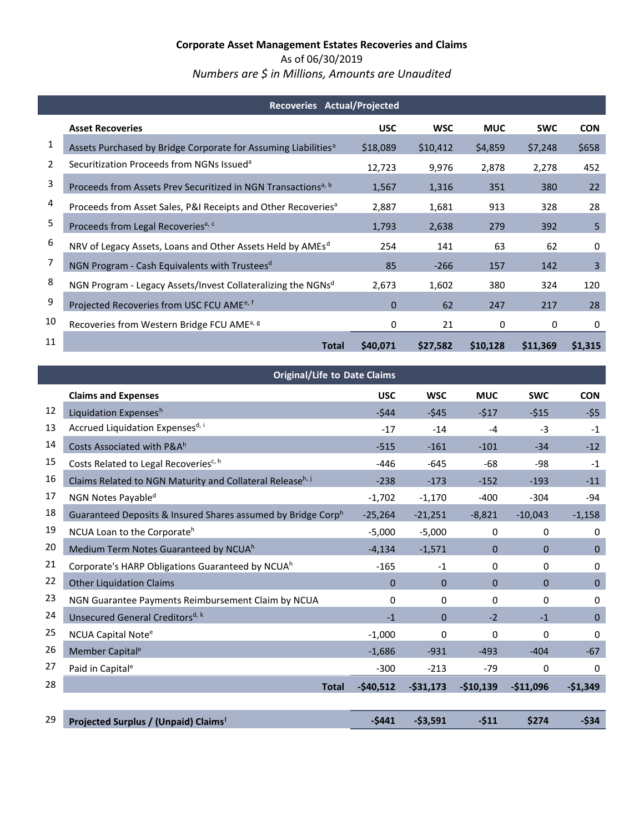# **Corporate Asset Management Estates Recoveries and Claims**  As of 06/30/2019

*Numbers are \$ in Millions, Amounts are Unaudited* 

|    | Recoveries Actual/Projected                                                |            |            |            |            |            |  |  |  |
|----|----------------------------------------------------------------------------|------------|------------|------------|------------|------------|--|--|--|
|    | <b>Asset Recoveries</b>                                                    | <b>USC</b> | <b>WSC</b> | <b>MUC</b> | <b>SWC</b> | <b>CON</b> |  |  |  |
| 1  | Assets Purchased by Bridge Corporate for Assuming Liabilities <sup>a</sup> | \$18,089   | \$10,412   | \$4,859    | \$7,248    | \$658      |  |  |  |
| 2  | Securitization Proceeds from NGNs Issued <sup>a</sup>                      | 12,723     | 9,976      | 2,878      | 2,278      | 452        |  |  |  |
| 3  | Proceeds from Assets Prev Securitized in NGN Transactions <sup>a, b</sup>  | 1,567      | 1,316      | 351        | 380        | 22         |  |  |  |
| 4  | Proceeds from Asset Sales, P&I Receipts and Other Recoveries <sup>a</sup>  | 2,887      | 1,681      | 913        | 328        | 28         |  |  |  |
| 5  | Proceeds from Legal Recoveries <sup>a, c</sup>                             | 1,793      | 2,638      | 279        | 392        | 5          |  |  |  |
| 6  | NRV of Legacy Assets, Loans and Other Assets Held by AMEs <sup>d</sup>     | 254        | 141        | 63         | 62         | 0          |  |  |  |
| 7  | NGN Program - Cash Equivalents with Trustees <sup>d</sup>                  | 85         | $-266$     | 157        | 142        | 3          |  |  |  |
| 8  | NGN Program - Legacy Assets/Invest Collateralizing the NGNsd               | 2,673      | 1,602      | 380        | 324        | 120        |  |  |  |
| 9  | Projected Recoveries from USC FCU AME <sup>e, f</sup>                      | $\Omega$   | 62         | 247        | 217        | 28         |  |  |  |
| 10 | Recoveries from Western Bridge FCU AME <sup>a, g</sup>                     | 0          | 21         | 0          | 0          | 0          |  |  |  |
| 11 | Total                                                                      | \$40,071   | \$27,582   | \$10,128   | \$11,369   | \$1,315    |  |  |  |

|    | <b>Original/Life to Date Claims</b>                          |            |                |            |              |              |
|----|--------------------------------------------------------------|------------|----------------|------------|--------------|--------------|
|    | <b>Claims and Expenses</b>                                   | <b>USC</b> | <b>WSC</b>     | <b>MUC</b> | <b>SWC</b>   | <b>CON</b>   |
| 12 | Liquidation Expensesh                                        | $-544$     | $-545$         | $-517$     | $-515$       | $-55$        |
| 13 | Accrued Liquidation Expensesd, i                             | $-17$      | $-14$          | $-4$       | $-3$         | $-1$         |
| 14 | Costs Associated with P&A <sup>h</sup>                       | $-515$     | $-161$         | $-101$     | $-34$        | $-12$        |
| 15 | Costs Related to Legal Recoveries <sup>c, h</sup>            | $-446$     | $-645$         | $-68$      | -98          | $-1$         |
| 16 | Claims Related to NGN Maturity and Collateral Releaseh, j    | $-238$     | $-173$         | $-152$     | $-193$       | $-11$        |
| 17 | NGN Notes Payable <sup>d</sup>                               | $-1,702$   | $-1,170$       | $-400$     | $-304$       | $-94$        |
| 18 | Guaranteed Deposits & Insured Shares assumed by Bridge Corph | $-25,264$  | $-21,251$      | $-8,821$   | $-10,043$    | $-1,158$     |
| 19 | NCUA Loan to the Corporateh                                  | $-5,000$   | $-5,000$       | 0          | $\mathbf{0}$ | 0            |
| 20 | Medium Term Notes Guaranteed by NCUAh                        | $-4,134$   | $-1,571$       | 0          | $\mathbf{0}$ | $\mathbf{0}$ |
| 21 | Corporate's HARP Obligations Guaranteed by NCUA <sup>h</sup> | $-165$     | $-1$           | 0          | 0            | 0            |
| 22 | <b>Other Liquidation Claims</b>                              | $\Omega$   | $\Omega$       | $\Omega$   | $\mathbf{0}$ | $\mathbf{0}$ |
| 23 | NGN Guarantee Payments Reimbursement Claim by NCUA           | 0          | 0              | 0          | 0            | 0            |
| 24 | Unsecured General Creditors <sup>d, k</sup>                  | $-1$       | $\overline{0}$ | $-2$       | $-1$         | $\mathbf 0$  |
| 25 | NCUA Capital Note <sup>e</sup>                               | $-1,000$   | 0              | 0          | $\Omega$     | 0            |
| 26 | Member Capital <sup>e</sup>                                  | $-1,686$   | $-931$         | $-493$     | $-404$       | $-67$        |
| 27 | Paid in Capital <sup>e</sup>                                 | $-300$     | $-213$         | $-79$      | $\mathbf{0}$ | 0            |
| 28 | <b>Total</b>                                                 | $-$40,512$ | $-531,173$     | $-$10,139$ | $-$11,096$   | $-$1,349$    |
|    |                                                              |            |                |            |              |              |
| 29 | Projected Surplus / (Unpaid) Claims <sup>1</sup>             | $-5441$    | $-53,591$      | $-511$     | \$274        | $-534$       |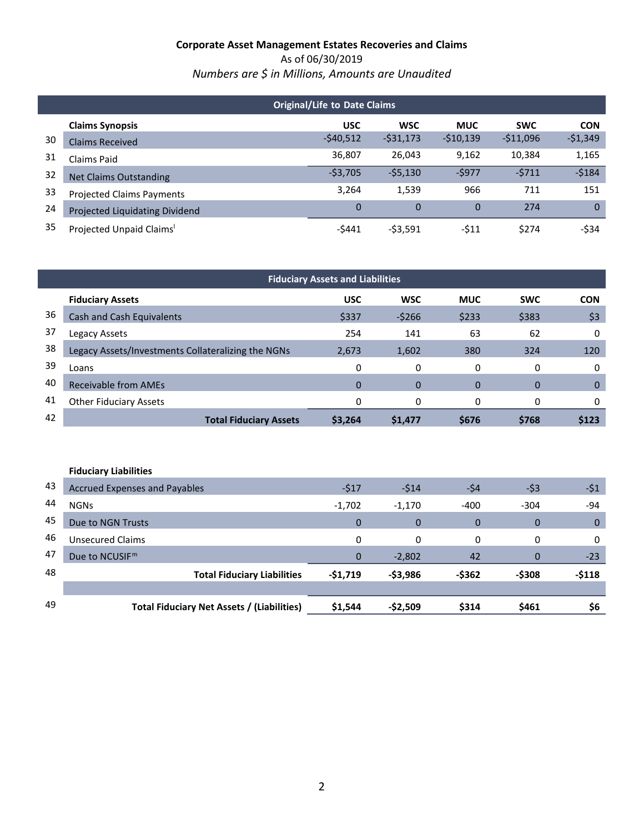As of 06/30/2019 *Numbers are \$ in Millions, Amounts are Unaudited* 

|    | <b>Original/Life to Date Claims</b> |            |                |            |            |            |  |  |  |
|----|-------------------------------------|------------|----------------|------------|------------|------------|--|--|--|
|    | <b>Claims Synopsis</b>              | <b>USC</b> | <b>WSC</b>     | <b>MUC</b> | <b>SWC</b> | <b>CON</b> |  |  |  |
| 30 | <b>Claims Received</b>              | $-540,512$ | $-531,173$     | $-510,139$ | $-511,096$ | $-51,349$  |  |  |  |
| 31 | Claims Paid                         | 36,807     | 26,043         | 9,162      | 10,384     | 1,165      |  |  |  |
| 32 | <b>Net Claims Outstanding</b>       | $-53,705$  | $-55,130$      | $-5977$    | $-5711$    | $-5184$    |  |  |  |
| 33 | <b>Projected Claims Payments</b>    | 3,264      | 1,539          | 966        | 711        | 151        |  |  |  |
| 24 | Projected Liquidating Dividend      | 0          | $\overline{0}$ | $\Omega$   | 274        | $\Omega$   |  |  |  |
| 35 | Projected Unpaid Claims'            | -\$441     | $-53.591$      | -\$11      | \$274      | $-534$     |  |  |  |

|    | <b>Fiduciary Assets and Liabilities</b>            |              |            |            |            |             |  |  |
|----|----------------------------------------------------|--------------|------------|------------|------------|-------------|--|--|
|    | <b>Fiduciary Assets</b>                            | <b>USC</b>   | <b>WSC</b> | <b>MUC</b> | <b>SWC</b> | <b>CON</b>  |  |  |
| 36 | Cash and Cash Equivalents                          | \$337        | $-5266$    | \$233      | \$383      | \$3         |  |  |
| 37 | Legacy Assets                                      | 254          | 141        | 63         | 62         | 0           |  |  |
| 38 | Legacy Assets/Investments Collateralizing the NGNs | 2,673        | 1,602      | 380        | 324        | 120         |  |  |
| 39 | Loans                                              | 0            | 0          | 0          | 0          | 0           |  |  |
| 40 | <b>Receivable from AMEs</b>                        | $\mathbf{0}$ | 0          | $\Omega$   | $\Omega$   | $\mathbf 0$ |  |  |
| 41 | <b>Other Fiduciary Assets</b>                      | 0            | 0          | 0          | 0          | 0           |  |  |
| 42 | <b>Total Fiduciary Assets</b>                      | \$3,264      | \$1,477    | \$676      | \$768      | \$123       |  |  |
|    |                                                    |              |            |            |            |             |  |  |

|    | <b>Fiduciary Liabilities</b>               |             |              |                |             |              |
|----|--------------------------------------------|-------------|--------------|----------------|-------------|--------------|
| 43 | <b>Accrued Expenses and Payables</b>       | $-517$      | $-514$       | -\$4           | $-53$       | $-51$        |
| 44 | <b>NGNs</b>                                | $-1,702$    | $-1,170$     | $-400$         | $-304$      | $-94$        |
| 45 | Due to NGN Trusts                          | $\Omega$    | $\mathbf 0$  | $\overline{0}$ | $\mathbf 0$ | $\mathbf{0}$ |
| 46 | Unsecured Claims                           | 0           | $\mathbf{0}$ | 0              | 0           | 0            |
| 47 | Due to NCUSIF <sup>m</sup>                 | $\mathbf 0$ | $-2,802$     | 42             | $\Omega$    | $-23$        |
| 48 | <b>Total Fiduciary Liabilities</b>         | $-51,719$   | -\$3,986     | -\$362         | $-5308$     | $-$118$      |
|    |                                            |             |              |                |             |              |
| 49 | Total Fiduciary Net Assets / (Liabilities) | \$1,544     | $-52,509$    | \$314          | \$461       | \$6          |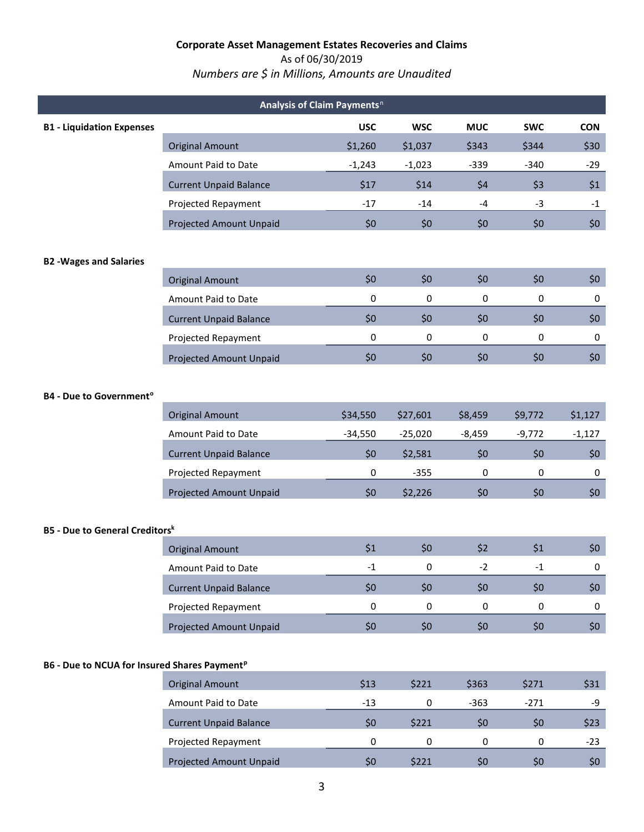#### As of 06/30/2019

# *Numbers are \$ in Millions, Amounts are Unaudited*

|                                                          | Analysis of Claim Payments <sup>n</sup> |            |            |            |            |            |
|----------------------------------------------------------|-----------------------------------------|------------|------------|------------|------------|------------|
| <b>B1 - Liquidation Expenses</b>                         |                                         | <b>USC</b> | <b>WSC</b> | <b>MUC</b> | <b>SWC</b> | <b>CON</b> |
|                                                          | <b>Original Amount</b>                  | \$1,260    | \$1,037    | \$343      | \$344      | \$30       |
|                                                          | Amount Paid to Date                     | $-1,243$   | $-1,023$   | $-339$     | $-340$     | $-29$      |
|                                                          | <b>Current Unpaid Balance</b>           | \$17       | \$14       | \$4        | \$3        | \$1        |
|                                                          | Projected Repayment                     | $-17$      | $-14$      | $-4$       | $-3$       | $-1$       |
|                                                          | Projected Amount Unpaid                 | \$0        | \$0        | \$0        | \$0        | \$0\$      |
| <b>B2 -Wages and Salaries</b>                            |                                         |            |            |            |            |            |
|                                                          | <b>Original Amount</b>                  | \$0        | \$0        | \$0        | \$0        | \$0\$      |
|                                                          | Amount Paid to Date                     | 0          | 0          | 0          | 0          | 0          |
|                                                          | <b>Current Unpaid Balance</b>           | \$0        | \$0        | \$0        | \$0        | \$0\$      |
|                                                          | Projected Repayment                     | 0          | 0          | 0          | 0          | 0          |
|                                                          | Projected Amount Unpaid                 | \$0        | \$0        | \$0        | \$0        | \$0\$      |
| <b>B4 - Due to Government<sup>o</sup></b>                |                                         |            |            |            |            |            |
|                                                          | <b>Original Amount</b>                  | \$34,550   | \$27,601   | \$8,459    | \$9,772    | \$1,127    |
|                                                          | Amount Paid to Date                     | $-34,550$  | $-25,020$  | $-8,459$   | $-9,772$   | $-1,127$   |
|                                                          | <b>Current Unpaid Balance</b>           | \$0        | \$2,581    | \$0        | \$0        | \$0\$      |
|                                                          | Projected Repayment                     | 0          | $-355$     | 0          | 0          | 0          |
|                                                          | Projected Amount Unpaid                 | \$0        | \$2,226    | \$0        | \$0        | \$0\$      |
| <b>B5 - Due to General Creditorsk</b>                    |                                         |            |            |            |            |            |
|                                                          | <b>Original Amount</b>                  | \$1        | \$0        | \$2        | \$1        | \$0\$      |
|                                                          | Amount Paid to Date                     | $-1$       | 0          | $-2$       | $-1$       | 0          |
|                                                          | <b>Current Unpaid Balance</b>           | \$0        | \$0        | \$0        | \$0        | \$0\$      |
|                                                          | Projected Repayment                     | 0          | 0          | 0          | 0          | 0          |
|                                                          | Projected Amount Unpaid                 | \$0        | \$0        | \$0\$      | \$0\$      | \$0\$      |
| B6 - Due to NCUA for Insured Shares Payment <sup>p</sup> |                                         |            |            |            |            |            |
|                                                          | <b>Original Amount</b>                  | \$13       | \$221      | \$363      | \$271      | \$31       |
|                                                          | Amount Paid to Date                     | $-13$      | 0          | $-363$     | $-271$     | -9         |
|                                                          | <b>Current Unpaid Balance</b>           | \$0        | \$221      | \$0        | \$0        | \$23       |
|                                                          | Projected Repayment                     | 0          | 0          | $\pmb{0}$  | 0          | $-23$      |
|                                                          | Projected Amount Unpaid                 | \$0        | \$221      | \$0        | \$0        | \$0\$      |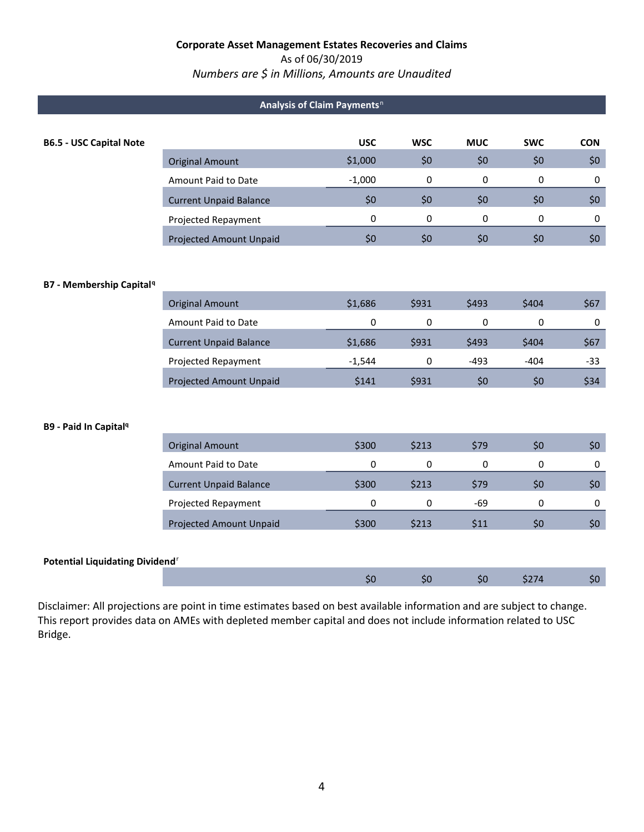## As of 06/30/2019

# *Numbers are \$ in Millions, Amounts are Unaudited*

| Analysis of Claim Payments <sup>n</sup> |                               |            |            |            |            |            |  |  |
|-----------------------------------------|-------------------------------|------------|------------|------------|------------|------------|--|--|
| <b>B6.5 - USC Capital Note</b>          |                               | <b>USC</b> | <b>WSC</b> | <b>MUC</b> | <b>SWC</b> | <b>CON</b> |  |  |
|                                         | <b>Original Amount</b>        | \$1,000    | \$0        | \$0        | \$0        | \$0        |  |  |
|                                         | Amount Paid to Date           | $-1,000$   | 0          | 0          | 0          | 0          |  |  |
|                                         | <b>Current Unpaid Balance</b> | \$0        | \$0        | \$0        | \$0        | \$0        |  |  |
|                                         | Projected Repayment           | 0          | 0          | 0          | 0          | 0          |  |  |
|                                         | Projected Amount Unpaid       | \$0        | \$0        | \$0        | \$0        | \$0        |  |  |
|                                         |                               |            |            |            |            |            |  |  |
|                                         |                               |            |            |            |            |            |  |  |

#### **B7 - Membership Capital[q](#page-4-24)**

| <b>Original Amount</b>         | \$1,686  | \$931 | S493 | \$404 | \$67  |
|--------------------------------|----------|-------|------|-------|-------|
| Amount Paid to Date            | 0        |       | 0    |       |       |
| <b>Current Unpaid Balance</b>  | \$1,686  | \$931 | S493 | \$404 | \$67  |
| Projected Repayment            | $-1.544$ |       | -493 | -404  | $-33$ |
| <b>Projected Amount Unpaid</b> | \$141    | \$931 | \$0  | \$0   | \$34  |

#### **B9 - Paid In Capita[lq](#page-4-23)**

| <b>Original Amount</b>         | \$300 | \$213       | S79        | SO | S0 |
|--------------------------------|-------|-------------|------------|----|----|
| Amount Paid to Date            | 0     |             | 0          | 0  |    |
| <b>Current Unpaid Balance</b>  | \$300 | \$213       | <b>S79</b> | S0 | S0 |
| Projected Repayment            | ŋ     |             | -69        |    |    |
| <b>Projected Amount Unpaid</b> | \$300 | <b>S213</b> | S11        | SÜ |    |

### **Potential Liquidating Dividend**[r](#page-4-25)

 Disclaimer: All projections are point in time estimates based on best available information and are subject to change. This report provides data on AMEs with depleted member capital and does not include information related to USC Bridge.